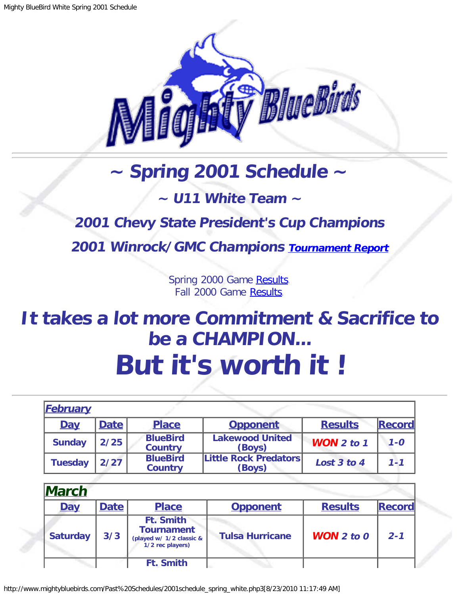

## **~ Spring 2001 Schedule ~**

## **~ U11 White Team ~**

## <span id="page-0-0"></span>**2001 Chevy State President's Cup Champions**

**2001 Winrock/GMC Champions [Tournament Report](http://www.mightybluebirds.com/Tournaments/2001gmc.php3)**

Spring 2000 Game [Results.](http://www.mightybluebirds.com/Past%20Schedules/2000schedule_spring.php3) Fall 2000 Game [Results.](http://www.mightybluebirds.com/Past%20Schedules/2000schedule_fall_white.php3)

## **It takes a lot more Commitment & Sacrifice to be a CHAMPION... But it's worth it !**

| <b>February</b> |             |                                   |                                        |                       |               |
|-----------------|-------------|-----------------------------------|----------------------------------------|-----------------------|---------------|
| <b>Day</b>      | <b>Date</b> | <b>Place</b>                      | <b>Opponent</b>                        | <b>Results</b>        | <b>Record</b> |
| <b>Sunday</b>   | 2/25        | <b>BlueBird</b><br><b>Country</b> | <b>Lakewood United</b><br>(Boys)       | <b>WON</b> $2$ to $1$ | $1 - 0$       |
| <b>Tuesday</b>  | 2/27        | <b>BlueBird</b><br><b>Country</b> | <b>Little Rock Predators</b><br>(Boys) | Lost 3 to 4           | $1 - 1$       |

| <b>March</b>    |             |                                                                                       |                        |                       |               |
|-----------------|-------------|---------------------------------------------------------------------------------------|------------------------|-----------------------|---------------|
| <b>Day</b>      | <b>Date</b> | <b>Place</b>                                                                          | <b>Opponent</b>        | <b>Results</b>        | <b>Record</b> |
| <b>Saturday</b> | 3/3         | <b>Ft. Smith</b><br><b>Tournament</b><br>(played w/ 1/2 classic &<br>1/2 rec players) | <b>Tulsa Hurricane</b> | <b>WON</b> $2$ to $0$ | $2 - 1$       |
|                 |             | <b>Ft. Smith</b>                                                                      |                        |                       |               |

http://www.mightybluebirds.com/Past%20Schedules/2001schedule\_spring\_white.php3[8/23/2010 11:17:49 AM]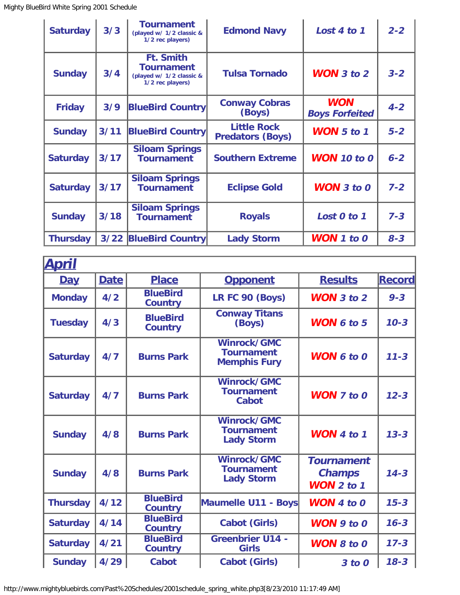| <b>Saturday</b> | 3/3    | <b>Tournament</b><br>(played w/ 1/2 classic &<br>1/2 rec players)                     | <b>Edmond Navy</b>                            | Lost 4 to 1                         | $2 - 2$ |
|-----------------|--------|---------------------------------------------------------------------------------------|-----------------------------------------------|-------------------------------------|---------|
| <b>Sunday</b>   | 3/4    | <b>Ft. Smith</b><br><b>Tournament</b><br>(played w/ 1/2 classic &<br>1/2 rec players) | <b>Tulsa Tornado</b>                          | <b>WON</b> $3$ to $2$               | $3 - 2$ |
| <b>Friday</b>   | 3/9    | <b>BlueBird Country</b>                                                               | <b>Conway Cobras</b><br>(Boys)                | <b>WON</b><br><b>Boys Forfeited</b> | $4 - 2$ |
| <b>Sunday</b>   | $3/11$ | <b>BlueBird Country</b>                                                               | <b>Little Rock</b><br><b>Predators (Boys)</b> | <b>WON</b> $5$ to $1$               | $5 - 2$ |
| <b>Saturday</b> | 3/17   | <b>Siloam Springs</b><br><b>Tournament</b>                                            | <b>Southern Extreme</b>                       | <b>WON</b> 10 to 0                  | $6 - 2$ |
| <b>Saturday</b> | $3/17$ | <b>Siloam Springs</b><br><b>Tournament</b>                                            | <b>Eclipse Gold</b>                           | <b>WON</b> $3$ to $0$               | $7 - 2$ |
| <b>Sunday</b>   | 3/18   | <b>Siloam Springs</b><br><b>Tournament</b>                                            | <b>Royals</b>                                 | Lost 0 to 1                         | $7 - 3$ |
| <b>Thursday</b> | $3/22$ | <b>BlueBird Country</b>                                                               | <b>Lady Storm</b>                             | $WON$ 1 to 0                        | $8 - 3$ |

| <b>April</b>    |             |                                   |                                                              |                                                         |               |
|-----------------|-------------|-----------------------------------|--------------------------------------------------------------|---------------------------------------------------------|---------------|
| <b>Day</b>      | <b>Date</b> | <b>Place</b>                      | <b>Opponent</b>                                              | <b>Results</b>                                          | <b>Record</b> |
| <b>Monday</b>   | 4/2         | <b>BlueBird</b><br><b>Country</b> | LR FC 90 (Boys)                                              | <b>WON</b> 3 to 2                                       | $9 - 3$       |
| <b>Tuesday</b>  | 4/3         | <b>BlueBird</b><br><b>Country</b> | <b>Conway Titans</b><br>(Boys)                               | <b>WON 6 to 5</b>                                       | $10 - 3$      |
| <b>Saturday</b> | 4/7         | <b>Burns Park</b>                 | Winrock/GMC<br><b>Tournament</b><br><b>Memphis Fury</b>      | <b>WON 6 to 0</b>                                       | $11 - 3$      |
| <b>Saturday</b> | 4/7         | <b>Burns Park</b>                 | Winrock/GMC<br><b>Tournament</b><br><b>Cabot</b>             | <b>WON</b> $7$ to $0$                                   | $12 - 3$      |
| <b>Sunday</b>   | 4/8         | <b>Burns Park</b>                 | <b>Winrock/GMC</b><br><b>Tournament</b><br><b>Lady Storm</b> | <b>WON</b> 4 to 1                                       | $13 - 3$      |
| <b>Sunday</b>   | 4/8         | <b>Burns Park</b>                 | Winrock/GMC<br><b>Tournament</b><br><b>Lady Storm</b>        | <b>Tournament</b><br><b>Champs</b><br><b>WON 2 to 1</b> | $14 - 3$      |
| <b>Thursday</b> | 4/12        | <b>BlueBird</b><br><b>Country</b> | Maumelle U11 - Boys                                          | <b>WON</b> 4 to $0$                                     | $15 - 3$      |
| <b>Saturday</b> | 4/14        | <b>BlueBird</b><br><b>Country</b> | <b>Cabot (Girls)</b>                                         | $WON$ 9 to 0                                            | $16 - 3$      |
| <b>Saturday</b> | 4/21        | <b>BlueBird</b><br><b>Country</b> | <b>Greenbrier U14 -</b><br><b>Girls</b>                      | <b>WON 8 to 0</b>                                       | $17 - 3$      |
| <b>Sunday</b>   | 4/29        | <b>Cabot</b>                      | <b>Cabot (Girls)</b>                                         | 3 to 0                                                  | $18 - 3$      |

http://www.mightybluebirds.com/Past%20Schedules/2001schedule\_spring\_white.php3[8/23/2010 11:17:49 AM]